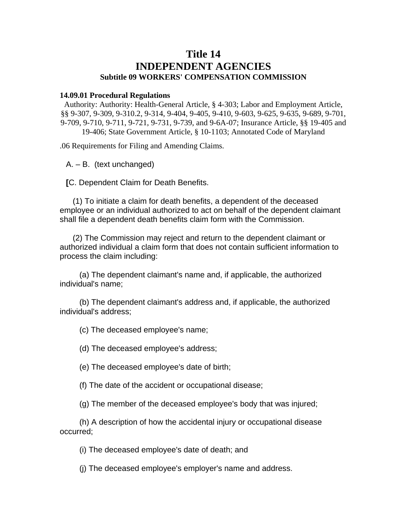## **Title 14 INDEPENDENT AGENCIES Subtitle 09 WORKERS' COMPENSATION COMMISSION**

## **14.09.01 Procedural Regulations**

Authority: Authority: Health-General Article, § 4-303; Labor and Employment Article, §§ 9-307, 9-309, 9-310.2, 9-314, 9-404, 9-405, 9-410, 9-603, 9-625, 9-635, 9-689, 9-701, 9-709, 9-710, 9-711, 9-721, 9-731, 9-739, and 9-6A-07; Insurance Article, §§ 19-405 and 19-406; State Government Article, § 10-1103; Annotated Code of Maryland

.06 Requirements for Filing and Amending Claims.

A. – B. (text unchanged)

**[**C. Dependent Claim for Death Benefits.

(1) To initiate a claim for death benefits, a dependent of the deceased employee or an individual authorized to act on behalf of the dependent claimant shall file a dependent death benefits claim form with the Commission.

(2) The Commission may reject and return to the dependent claimant or authorized individual a claim form that does not contain sufficient information to process the claim including:

(a) The dependent claimant's name and, if applicable, the authorized individual's name;

(b) The dependent claimant's address and, if applicable, the authorized individual's address;

(c) The deceased employee's name;

(d) The deceased employee's address;

(e) The deceased employee's date of birth;

(f) The date of the accident or occupational disease;

(g) The member of the deceased employee's body that was injured;

(h) A description of how the accidental injury or occupational disease occurred;

(i) The deceased employee's date of death; and

(j) The deceased employee's employer's name and address.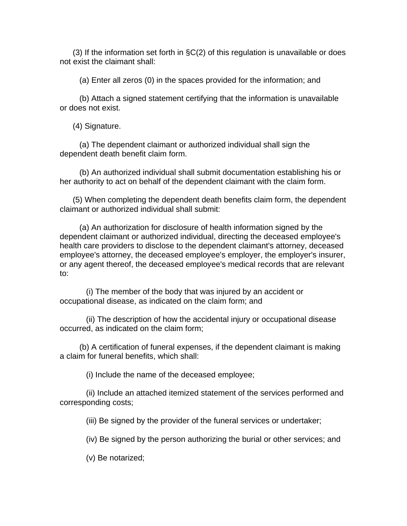(3) If the information set forth in §C(2) of this regulation is unavailable or does not exist the claimant shall:

(a) Enter all zeros (0) in the spaces provided for the information; and

(b) Attach a signed statement certifying that the information is unavailable or does not exist.

(4) Signature.

(a) The dependent claimant or authorized individual shall sign the dependent death benefit claim form.

(b) An authorized individual shall submit documentation establishing his or her authority to act on behalf of the dependent claimant with the claim form.

(5) When completing the dependent death benefits claim form, the dependent claimant or authorized individual shall submit:

(a) An authorization for disclosure of health information signed by the dependent claimant or authorized individual, directing the deceased employee's health care providers to disclose to the dependent claimant's attorney, deceased employee's attorney, the deceased employee's employer, the employer's insurer, or any agent thereof, the deceased employee's medical records that are relevant to:

(i) The member of the body that was injured by an accident or occupational disease, as indicated on the claim form; and

(ii) The description of how the accidental injury or occupational disease occurred, as indicated on the claim form;

(b) A certification of funeral expenses, if the dependent claimant is making a claim for funeral benefits, which shall:

(i) Include the name of the deceased employee;

(ii) Include an attached itemized statement of the services performed and corresponding costs;

(iii) Be signed by the provider of the funeral services or undertaker;

(iv) Be signed by the person authorizing the burial or other services; and

(v) Be notarized;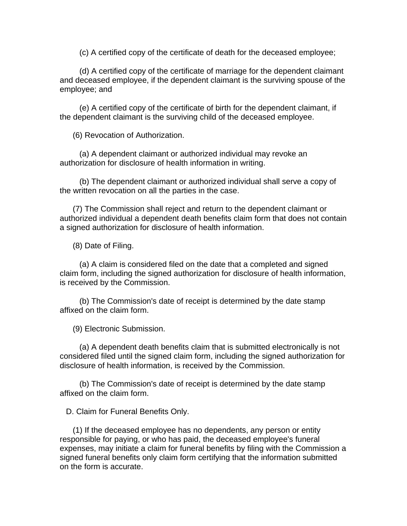(c) A certified copy of the certificate of death for the deceased employee;

(d) A certified copy of the certificate of marriage for the dependent claimant and deceased employee, if the dependent claimant is the surviving spouse of the employee; and

(e) A certified copy of the certificate of birth for the dependent claimant, if the dependent claimant is the surviving child of the deceased employee.

(6) Revocation of Authorization.

(a) A dependent claimant or authorized individual may revoke an authorization for disclosure of health information in writing.

(b) The dependent claimant or authorized individual shall serve a copy of the written revocation on all the parties in the case.

(7) The Commission shall reject and return to the dependent claimant or authorized individual a dependent death benefits claim form that does not contain a signed authorization for disclosure of health information.

(8) Date of Filing.

(a) A claim is considered filed on the date that a completed and signed claim form, including the signed authorization for disclosure of health information, is received by the Commission.

(b) The Commission's date of receipt is determined by the date stamp affixed on the claim form.

(9) Electronic Submission.

(a) A dependent death benefits claim that is submitted electronically is not considered filed until the signed claim form, including the signed authorization for disclosure of health information, is received by the Commission.

(b) The Commission's date of receipt is determined by the date stamp affixed on the claim form.

D. Claim for Funeral Benefits Only.

(1) If the deceased employee has no dependents, any person or entity responsible for paying, or who has paid, the deceased employee's funeral expenses, may initiate a claim for funeral benefits by filing with the Commission a signed funeral benefits only claim form certifying that the information submitted on the form is accurate.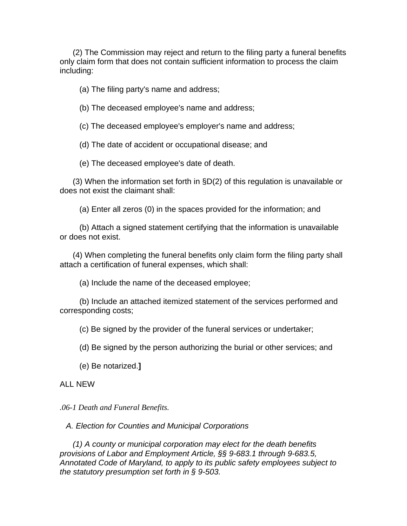(2) The Commission may reject and return to the filing party a funeral benefits only claim form that does not contain sufficient information to process the claim including:

(a) The filing party's name and address;

(b) The deceased employee's name and address;

(c) The deceased employee's employer's name and address;

(d) The date of accident or occupational disease; and

(e) The deceased employee's date of death.

(3) When the information set forth in §D(2) of this regulation is unavailable or does not exist the claimant shall:

(a) Enter all zeros (0) in the spaces provided for the information; and

(b) Attach a signed statement certifying that the information is unavailable or does not exist.

(4) When completing the funeral benefits only claim form the filing party shall attach a certification of funeral expenses, which shall:

(a) Include the name of the deceased employee;

(b) Include an attached itemized statement of the services performed and corresponding costs;

(c) Be signed by the provider of the funeral services or undertaker;

(d) Be signed by the person authorizing the burial or other services; and

(e) Be notarized.**]**

## ALL NEW

*.06-1 Death and Funeral Benefits.* 

*A. Election for Counties and Municipal Corporations* 

*(1) A county or municipal corporation may elect for the death benefits provisions of Labor and Employment Article, §§ 9-683.1 through 9-683.5, Annotated Code of Maryland, to apply to its public safety employees subject to the statutory presumption set forth in § 9-503.*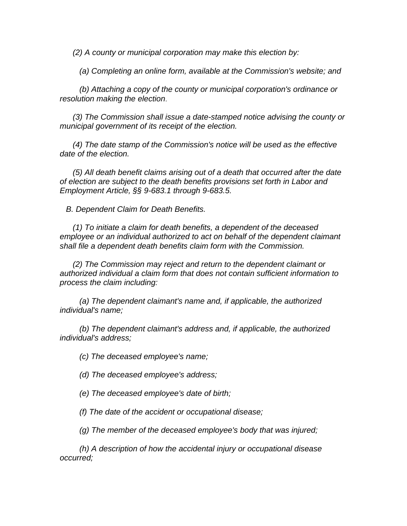*(2) A county or municipal corporation may make this election by:* 

*(a) Completing an online form, available at the Commission's website; and* 

*(b) Attaching a copy of the county or municipal corporation's ordinance or resolution making the election*.

*(3) The Commission shall issue a date-stamped notice advising the county or municipal government of its receipt of the election.* 

*(4) The date stamp of the Commission's notice will be used as the effective date of the election.* 

*(5) All death benefit claims arising out of a death that occurred after the date of election are subject to the death benefits provisions set forth in Labor and Employment Article, §§ 9-683.1 through 9-683.5.* 

*B. Dependent Claim for Death Benefits.* 

*(1) To initiate a claim for death benefits, a dependent of the deceased employee or an individual authorized to act on behalf of the dependent claimant shall file a dependent death benefits claim form with the Commission.* 

*(2) The Commission may reject and return to the dependent claimant or authorized individual a claim form that does not contain sufficient information to process the claim including:* 

*(a) The dependent claimant's name and, if applicable, the authorized individual's name;* 

*(b) The dependent claimant's address and, if applicable, the authorized individual's address;* 

*(c) The deceased employee's name;* 

*(d) The deceased employee's address;* 

*(e) The deceased employee's date of birth;* 

*(f) The date of the accident or occupational disease;* 

*(g) The member of the deceased employee's body that was injured;* 

*(h) A description of how the accidental injury or occupational disease occurred;*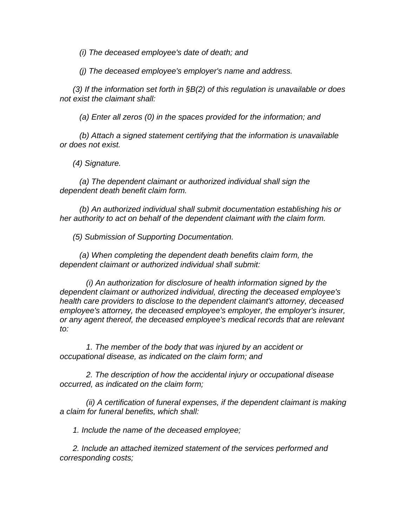*(i) The deceased employee's date of death; and* 

*(j) The deceased employee's employer's name and address.* 

*(3) If the information set forth in §B(2) of this regulation is unavailable or does not exist the claimant shall:* 

*(a) Enter all zeros (0) in the spaces provided for the information; and* 

*(b) Attach a signed statement certifying that the information is unavailable or does not exist.* 

*(4) Signature.* 

*(a) The dependent claimant or authorized individual shall sign the dependent death benefit claim form.* 

*(b) An authorized individual shall submit documentation establishing his or her authority to act on behalf of the dependent claimant with the claim form.* 

*(5) Submission of Supporting Documentation.* 

*(a) When completing the dependent death benefits claim form, the dependent claimant or authorized individual shall submit:* 

*(i) An authorization for disclosure of health information signed by the dependent claimant or authorized individual, directing the deceased employee's health care providers to disclose to the dependent claimant's attorney, deceased employee's attorney, the deceased employee's employer, the employer's insurer, or any agent thereof, the deceased employee's medical records that are relevant to:* 

*1. The member of the body that was injured by an accident or occupational disease, as indicated on the claim form; and* 

*2. The description of how the accidental injury or occupational disease occurred, as indicated on the claim form;* 

*(ii) A certification of funeral expenses, if the dependent claimant is making a claim for funeral benefits, which shall:* 

*1. Include the name of the deceased employee;* 

*2. Include an attached itemized statement of the services performed and corresponding costs;*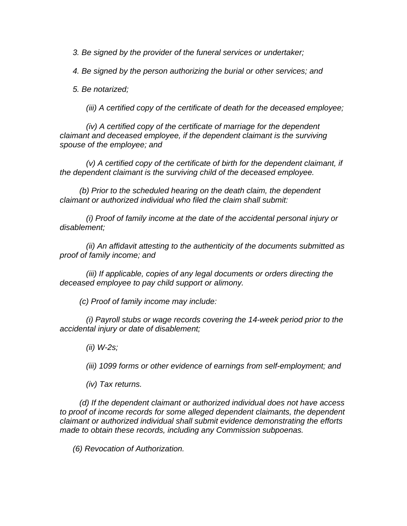*3. Be signed by the provider of the funeral services or undertaker;* 

*4. Be signed by the person authorizing the burial or other services; and* 

*5. Be notarized;* 

*(iii) A certified copy of the certificate of death for the deceased employee;* 

*(iv) A certified copy of the certificate of marriage for the dependent claimant and deceased employee, if the dependent claimant is the surviving spouse of the employee; and* 

*(v) A certified copy of the certificate of birth for the dependent claimant, if the dependent claimant is the surviving child of the deceased employee.* 

*(b) Prior to the scheduled hearing on the death claim, the dependent claimant or authorized individual who filed the claim shall submit:* 

*(i) Proof of family income at the date of the accidental personal injury or disablement;* 

*(ii) An affidavit attesting to the authenticity of the documents submitted as proof of family income; and* 

*(iii) If applicable, copies of any legal documents or orders directing the deceased employee to pay child support or alimony.* 

*(c) Proof of family income may include:* 

*(i) Payroll stubs or wage records covering the 14-week period prior to the accidental injury or date of disablement;* 

*(ii) W-2s;* 

*(iii) 1099 forms or other evidence of earnings from self-employment; and* 

*(iv) Tax returns.*

*(d) If the dependent claimant or authorized individual does not have access to proof of income records for some alleged dependent claimants, the dependent claimant or authorized individual shall submit evidence demonstrating the efforts made to obtain these records, including any Commission subpoenas.* 

*(6) Revocation of Authorization.*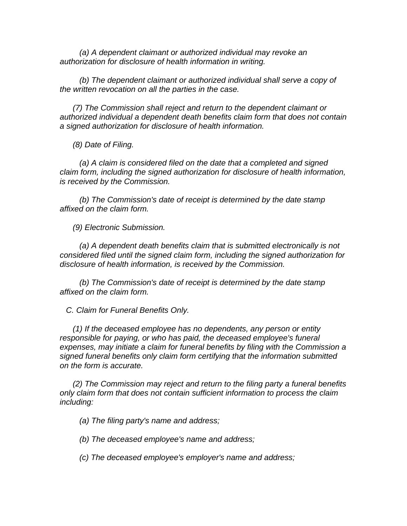*(a) A dependent claimant or authorized individual may revoke an authorization for disclosure of health information in writing.* 

*(b) The dependent claimant or authorized individual shall serve a copy of the written revocation on all the parties in the case.* 

*(7) The Commission shall reject and return to the dependent claimant or authorized individual a dependent death benefits claim form that does not contain a signed authorization for disclosure of health information.* 

*(8) Date of Filing.* 

*(a) A claim is considered filed on the date that a completed and signed claim form, including the signed authorization for disclosure of health information, is received by the Commission.* 

*(b) The Commission's date of receipt is determined by the date stamp affixed on the claim form.* 

*(9) Electronic Submission.* 

*(a) A dependent death benefits claim that is submitted electronically is not considered filed until the signed claim form, including the signed authorization for disclosure of health information, is received by the Commission.* 

*(b) The Commission's date of receipt is determined by the date stamp affixed on the claim form.* 

*C. Claim for Funeral Benefits Only.* 

*(1) If the deceased employee has no dependents, any person or entity responsible for paying, or who has paid, the deceased employee's funeral expenses, may initiate a claim for funeral benefits by filing with the Commission a signed funeral benefits only claim form certifying that the information submitted on the form is accurate.* 

*(2) The Commission may reject and return to the filing party a funeral benefits only claim form that does not contain sufficient information to process the claim including:* 

*(a) The filing party's name and address;* 

*(b) The deceased employee's name and address;* 

*(c) The deceased employee's employer's name and address;*